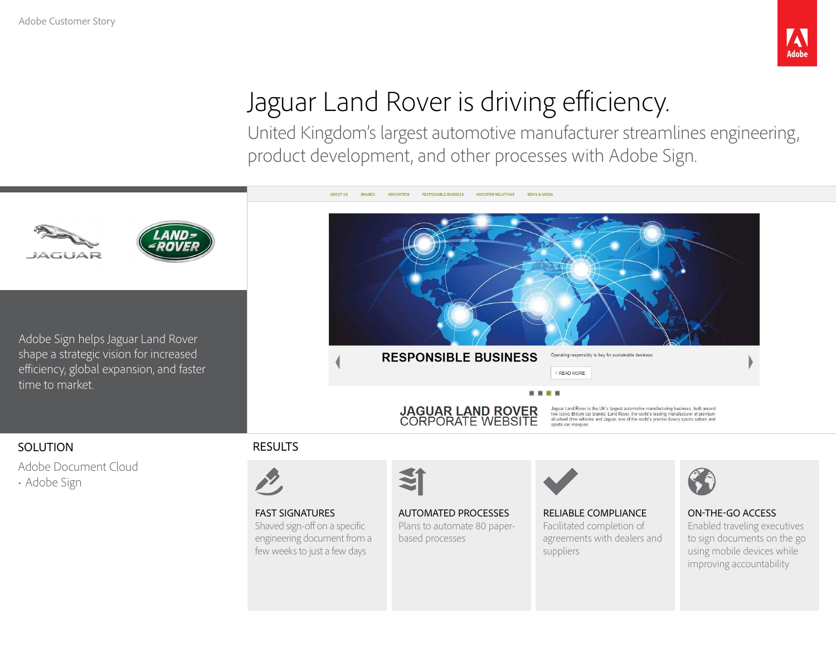# Jaguar Land Rover is driving efficiency.

United Kingdom's largest automotive manufacturer streamlines engineering, product development, and other processes with Adobe Sign.

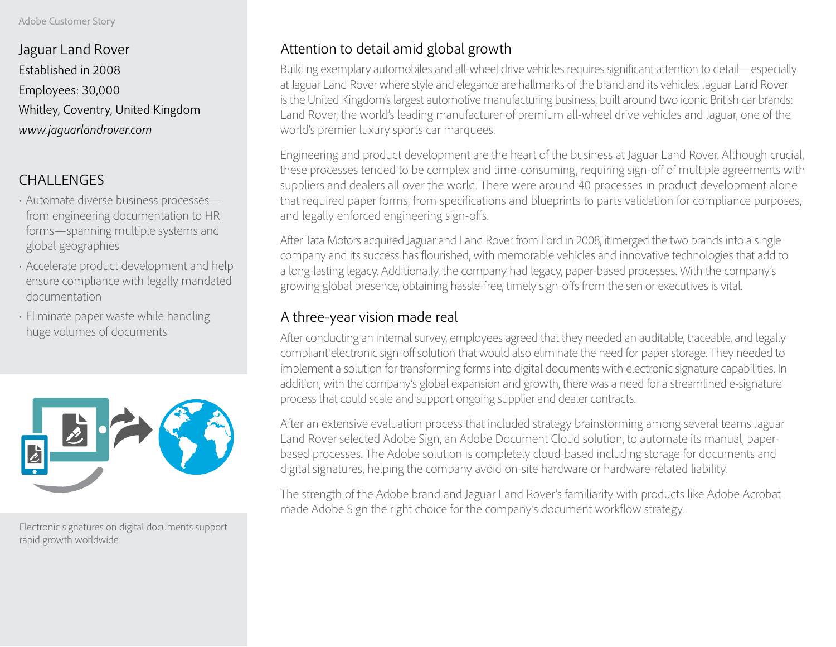Jaguar Land Rover Established in 2008 Employees: 30,000 Whitley, Coventry, United Kingdom *www.jaguarlandrover.com*

# CHALLENGES

- Automate diverse business processes from engineering documentation to HR forms—spanning multiple systems and global geographies
- Accelerate product development and help ensure compliance with legally mandated documentation
- Eliminate paper waste while handling huge volumes of documents



Electronic signatures on digital documents support rapid growth worldwide

# Attention to detail amid global growth

Building exemplary automobiles and all-wheel drive vehicles requires significant attention to detail—especially at Jaguar Land Rover where style and elegance are hallmarks of the brand and its vehicles. Jaguar Land Rover is the United Kingdom's largest automotive manufacturing business, built around two iconic British car brands: Land Rover, the world's leading manufacturer of premium all-wheel drive vehicles and Jaguar, one of the world's premier luxury sports car marquees.

Engineering and product development are the heart of the business at Jaguar Land Rover. Although crucial, these processes tended to be complex and time-consuming, requiring sign-off of multiple agreements with suppliers and dealers all over the world. There were around 40 processes in product development alone that required paper forms, from specifications and blueprints to parts validation for compliance purposes, and legally enforced engineering sign-offs.

After Tata Motors acquired Jaguar and Land Rover from Ford in 2008, it merged the two brands into a single company and its success has flourished, with memorable vehicles and innovative technologies that add to a long-lasting legacy. Additionally, the company had legacy, paper-based processes. With the company's growing global presence, obtaining hassle-free, timely sign-offs from the senior executives is vital.

## A three-year vision made real

After conducting an internal survey, employees agreed that they needed an auditable, traceable, and legally compliant electronic sign-off solution that would also eliminate the need for paper storage. They needed to implement a solution for transforming forms into digital documents with electronic signature capabilities. In addition, with the company's global expansion and growth, there was a need for a streamlined e-signature process that could scale and support ongoing supplier and dealer contracts.

After an extensive evaluation process that included strategy brainstorming among several teams Jaguar Land Rover selected Adobe Sign, an Adobe Document Cloud solution, to automate its manual, paperbased processes. The Adobe solution is completely cloud-based including storage for documents and digital signatures, helping the company avoid on-site hardware or hardware-related liability.

The strength of the Adobe brand and Jaguar Land Rover's familiarity with products like Adobe Acrobat made Adobe Sign the right choice for the company's document workflow strategy.